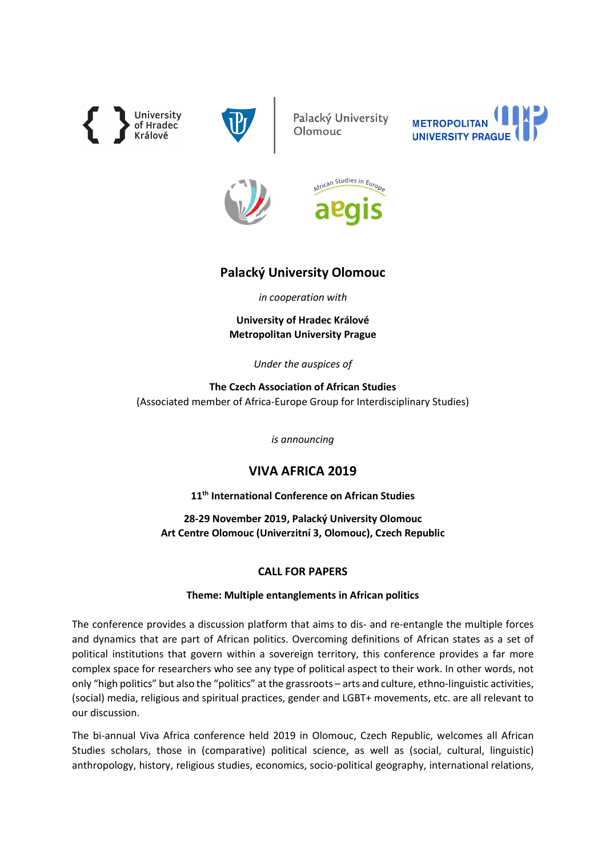**University**<br>of Hradec Králové



Palacký University Olomouc







# Palacký University Olomouc

in cooperation with

University of Hradec Králové Metropolitan University Prague

Under the auspices of

The Czech Association of African Studies (Associated member of Africa-Europe Group for Interdisciplinary Studies)

is announcing

# VIVA AFRICA 2019

11<sup>th</sup> International Conference on African Studies

28-29 November 2019, Palacký University Olomouc Art Centre Olomouc (Univerzitní 3, Olomouc), Czech Republic

## CALL FOR PAPERS

## Theme: Multiple entanglements in African politics

The conference provides a discussion platform that aims to dis- and re-entangle the multiple forces and dynamics that are part of African politics. Overcoming definitions of African states as a set of political institutions that govern within a sovereign territory, this conference provides a far more complex space for researchers who see any type of political aspect to their work. In other words, not only "high politics" but also the "politics" at the grassroots – arts and culture, ethno-linguistic activities, (social) media, religious and spiritual practices, gender and LGBT+ movements, etc. are all relevant to our discussion.

The bi-annual Viva Africa conference held 2019 in Olomouc, Czech Republic, welcomes all African Studies scholars, those in (comparative) political science, as well as (social, cultural, linguistic) anthropology, history, religious studies, economics, socio-political geography, international relations,